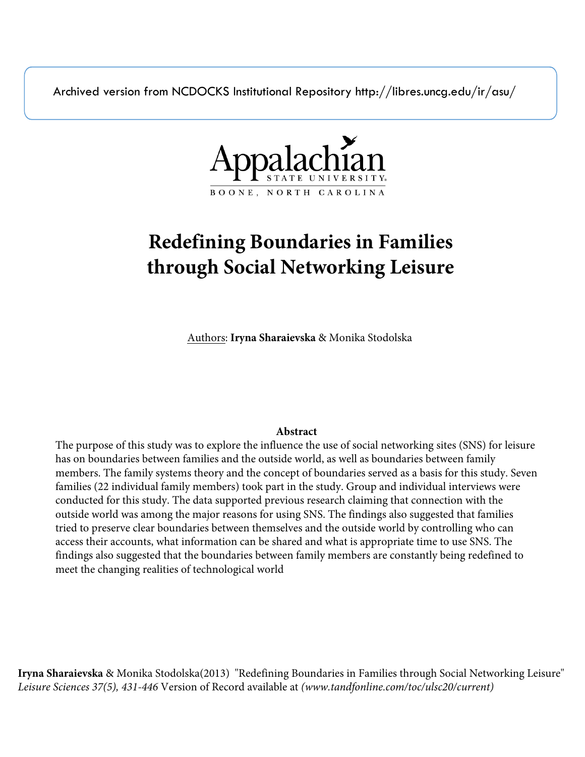Archived version from NCDOCKS Institutional Repository http://libres.uncg.edu/ir/asu/



# **Redefining Boundaries in Families through Social Networking Leisure**

Authors: **Iryna Sharaievska** & Monika Stodolska

# **Abstract**

The purpose of this study was to explore the influence the use of social networking sites (SNS) for leisure has on boundaries between families and the outside world, as well as boundaries between family members. The family systems theory and the concept of boundaries served as a basis for this study. Seven families (22 individual family members) took part in the study. Group and individual interviews were conducted for this study. The data supported previous research claiming that connection with the outside world was among the major reasons for using SNS. The findings also suggested that families tried to preserve clear boundaries between themselves and the outside world by controlling who can access their accounts, what information can be shared and what is appropriate time to use SNS. The findings also suggested that the boundaries between family members are constantly being redefined to meet the changing realities of technological world

**Iryna Sharaievska** & Monika Stodolska(2013) "Redefining Boundaries in Families through Social Networking Leisure" *Leisure Sciences 37(5), 431-446* Version of Record available at *(www.tandfonline.com/toc/ulsc20/current)*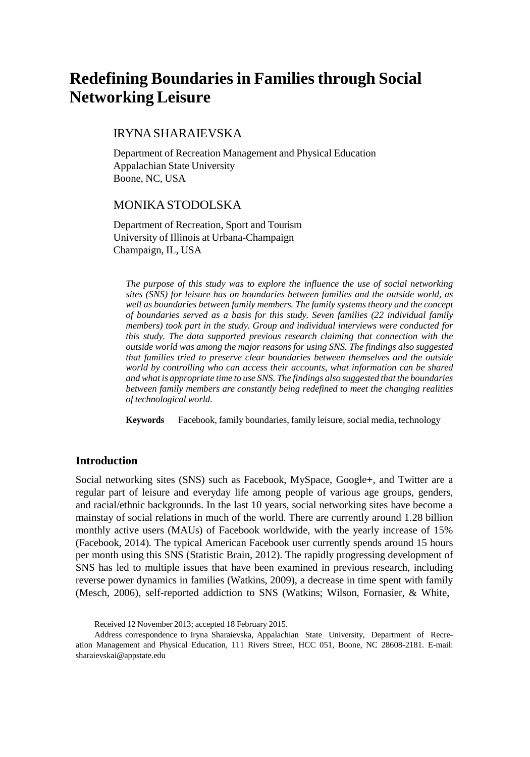# **Redefining Boundaries in Families through Social Networking Leisure**

# IRYNA SHARAIEVSKA

Department of Recreation Management and Physical Education Appalachian State University Boone, NC, USA

# MONIKA STODOLSKA

Department of Recreation, Sport and Tourism University of Illinois at Urbana-Champaign Champaign, IL, USA

*The purpose of this study was to explore the influence the use of social networking sites (SNS) for leisure has on boundaries between families and the outside world, as well as boundaries between family members. The family systems theory and the concept of boundaries served as a basis for this study. Seven families (22 individual family members) took part in the study. Group and individual interviews were conducted for this study. The data supported previous research claiming that connection with the outside world was among the major reasons for using SNS. The findings also suggested that families tried to preserve clear boundaries between themselves and the outside world by controlling who can access their accounts, what information can be shared and what is appropriate time to use SNS. The findings also suggested that the boundaries between family members are constantly being redefined to meet the changing realities of technological world.*

**Keywords** Facebook, family boundaries, family leisure, social media, technology

### **Introduction**

Social networking sites (SNS) such as Facebook, MySpace, Google+, and Twitter are a regular part of leisure and everyday life among people of various age groups, genders, and racial/ethnic backgrounds. In the last 10 years, social networking sites have become a mainstay of social relations in much of the world. There are currently around 1.28 billion monthly active users (MAUs) of Facebook worldwide, with the yearly increase of 15% (Facebook, 2014). The typical American Facebook user currently spends around 15 hours per month using this SNS (Statistic Brain, 2012). The rapidly progressing development of SNS has led to multiple issues that have been examined in previous research, including reverse power dynamics in families (Watkins, 2009), a decrease in time spent with family (Mesch, 2006), self-reported addiction to SNS (Watkins; Wilson, Fornasier, & White,

Received 12 November 2013; accepted 18 February 2015.

Address correspondence to Iryna Sharaievska, Appalachian State University, Department of Recreation Management and Physical Education, 111 Rivers Street, HCC 051, Boone, NC 28608-2181. E-mai[l:](mailto:sharaievskai@appstate.edu) [sharaie](mailto:sharaievskai@appstate.edu)[vskai@appstate.edu](mailto:vskai@appstate.edu)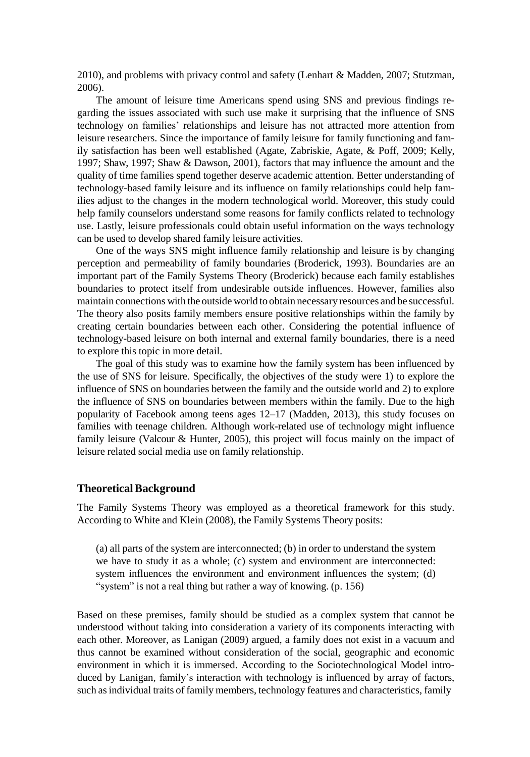2010), and problems with privacy control and safety (Lenhart & Madden, 2007; Stutzman, 2006).

The amount of leisure time Americans spend using SNS and previous findings regarding the issues associated with such use make it surprising that the influence of SNS technology on families' relationships and leisure has not attracted more attention from leisure researchers. Since the importance of family leisure for family functioning and family satisfaction has been well established (Agate, Zabriskie, Agate, & Poff, 2009; Kelly, 1997; Shaw, 1997; Shaw & Dawson, 2001), factors that may influence the amount and the quality of time families spend together deserve academic attention. Better understanding of technology-based family leisure and its influence on family relationships could help families adjust to the changes in the modern technological world. Moreover, this study could help family counselors understand some reasons for family conflicts related to technology use. Lastly, leisure professionals could obtain useful information on the ways technology can be used to develop shared family leisure activities.

One of the ways SNS might influence family relationship and leisure is by changing perception and permeability of family boundaries (Broderick, 1993). Boundaries are an important part of the Family Systems Theory (Broderick) because each family establishes boundaries to protect itself from undesirable outside influences. However, families also maintain connections with the outside world to obtain necessary resources and be successful. The theory also posits family members ensure positive relationships within the family by creating certain boundaries between each other. Considering the potential influence of technology-based leisure on both internal and external family boundaries, there is a need to explore this topic in more detail.

The goal of this study was to examine how the family system has been influenced by the use of SNS for leisure. Specifically, the objectives of the study were 1) to explore the influence of SNS on boundaries between the family and the outside world and 2) to explore the influence of SNS on boundaries between members within the family. Due to the high popularity of Facebook among teens ages 12–17 (Madden, 2013), this study focuses on families with teenage children. Although work-related use of technology might influence family leisure (Valcour & Hunter, 2005), this project will focus mainly on the impact of leisure related social media use on family relationship.

#### **Theoretical Background**

The Family Systems Theory was employed as a theoretical framework for this study. According to White and Klein (2008), the Family Systems Theory posits:

(a) all parts of the system are interconnected; (b) in order to understand the system we have to study it as a whole; (c) system and environment are interconnected: system influences the environment and environment influences the system; (d) "system" is not a real thing but rather a way of knowing. (p. 156)

Based on these premises, family should be studied as a complex system that cannot be understood without taking into consideration a variety of its components interacting with each other. Moreover, as Lanigan (2009) argued, a family does not exist in a vacuum and thus cannot be examined without consideration of the social, geographic and economic environment in which it is immersed. According to the Sociotechnological Model introduced by Lanigan, family's interaction with technology is influenced by array of factors, such as individual traits of family members, technology features and characteristics, family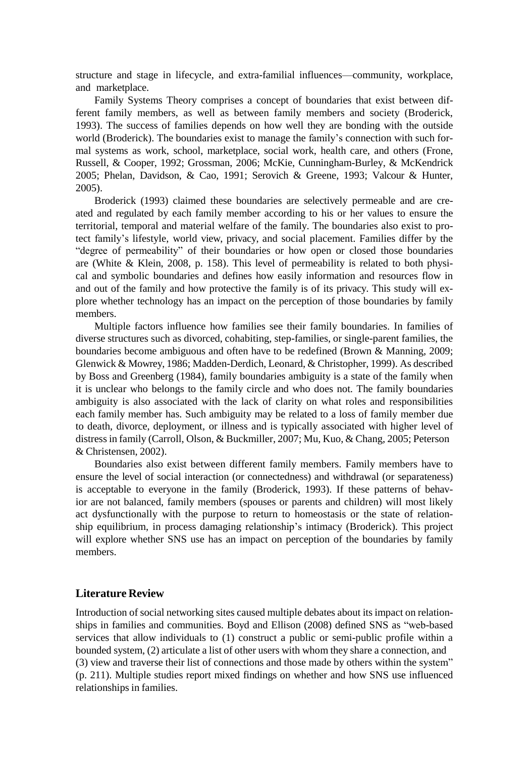structure and stage in lifecycle, and extra-familial influences—community, workplace, and marketplace.

Family Systems Theory comprises a concept of boundaries that exist between different family members, as well as between family members and society (Broderick, 1993). The success of families depends on how well they are bonding with the outside world (Broderick). The boundaries exist to manage the family's connection with such formal systems as work, school, marketplace, social work, health care, and others (Frone, Russell, & Cooper, 1992; Grossman, 2006; McKie, Cunningham-Burley, & McKendrick 2005; Phelan, Davidson, & Cao, 1991; Serovich & Greene, 1993; Valcour & Hunter, 2005).

Broderick (1993) claimed these boundaries are selectively permeable and are created and regulated by each family member according to his or her values to ensure the territorial, temporal and material welfare of the family. The boundaries also exist to protect family's lifestyle, world view, privacy, and social placement. Families differ by the "degree of permeability" of their boundaries or how open or closed those boundaries are (White & Klein, 2008, p. 158). This level of permeability is related to both physical and symbolic boundaries and defines how easily information and resources flow in and out of the family and how protective the family is of its privacy. This study will explore whether technology has an impact on the perception of those boundaries by family members.

Multiple factors influence how families see their family boundaries. In families of diverse structures such as divorced, cohabiting, step-families, or single-parent families, the boundaries become ambiguous and often have to be redefined (Brown & Manning, 2009; Glenwick & Mowrey, 1986; Madden-Derdich, Leonard, & Christopher, 1999). As described by Boss and Greenberg (1984), family boundaries ambiguity is a state of the family when it is unclear who belongs to the family circle and who does not. The family boundaries ambiguity is also associated with the lack of clarity on what roles and responsibilities each family member has. Such ambiguity may be related to a loss of family member due to death, divorce, deployment, or illness and is typically associated with higher level of distressin family (Carroll, Olson, & Buckmiller, 2007; Mu, Kuo, & Chang, 2005; Peterson & Christensen, 2002).

Boundaries also exist between different family members. Family members have to ensure the level of social interaction (or connectedness) and withdrawal (or separateness) is acceptable to everyone in the family (Broderick, 1993). If these patterns of behavior are not balanced, family members (spouses or parents and children) will most likely act dysfunctionally with the purpose to return to homeostasis or the state of relationship equilibrium, in process damaging relationship's intimacy (Broderick). This project will explore whether SNS use has an impact on perception of the boundaries by family members.

#### **Literature Review**

Introduction of social networking sites caused multiple debates about its impact on relationships in families and communities. Boyd and Ellison (2008) defined SNS as "web-based services that allow individuals to (1) construct a public or semi-public profile within a bounded system, (2) articulate a list of other users with whom they share a connection, and (3) view and traverse their list of connections and those made by others within the system" (p. 211). Multiple studies report mixed findings on whether and how SNS use influenced relationships in families.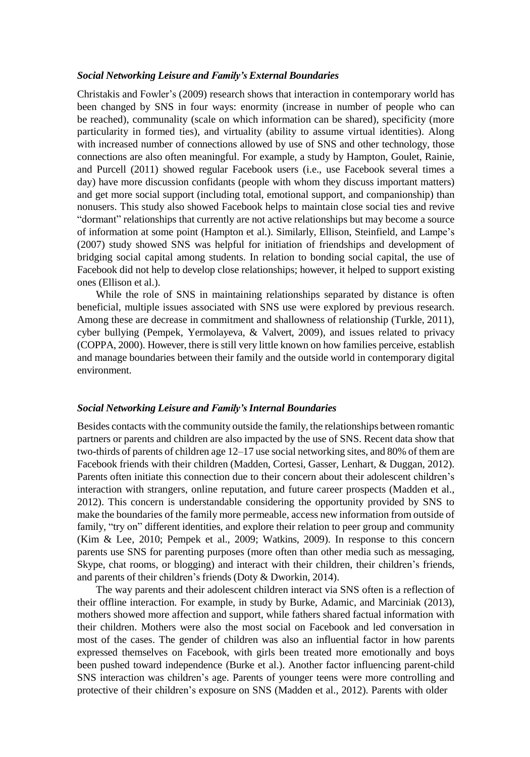#### *Social Networking Leisure and Family's External Boundaries*

Christakis and Fowler's (2009) research shows that interaction in contemporary world has been changed by SNS in four ways: enormity (increase in number of people who can be reached), communality (scale on which information can be shared), specificity (more particularity in formed ties), and virtuality (ability to assume virtual identities). Along with increased number of connections allowed by use of SNS and other technology, those connections are also often meaningful. For example, a study by Hampton, Goulet, Rainie, and Purcell (2011) showed regular Facebook users (i.e., use Facebook several times a day) have more discussion confidants (people with whom they discuss important matters) and get more social support (including total, emotional support, and companionship) than nonusers. This study also showed Facebook helps to maintain close social ties and revive "dormant" relationships that currently are not active relationships but may become a source of information at some point (Hampton et al.). Similarly, Ellison, Steinfield, and Lampe's (2007) study showed SNS was helpful for initiation of friendships and development of bridging social capital among students. In relation to bonding social capital, the use of Facebook did not help to develop close relationships; however, it helped to support existing ones (Ellison et al.).

While the role of SNS in maintaining relationships separated by distance is often beneficial, multiple issues associated with SNS use were explored by previous research. Among these are decrease in commitment and shallowness of relationship (Turkle, 2011), cyber bullying (Pempek, Yermolayeva, & Valvert, 2009), and issues related to privacy (COPPA, 2000). However, there is still very little known on how families perceive, establish and manage boundaries between their family and the outside world in contemporary digital environment.

#### *Social Networking Leisure and Family'sInternal Boundaries*

Besides contacts with the community outside the family, the relationships between romantic partners or parents and children are also impacted by the use of SNS. Recent data show that two-thirds of parents of children age 12–17 use social networking sites, and 80% of them are Facebook friends with their children (Madden, Cortesi, Gasser, Lenhart, & Duggan, 2012). Parents often initiate this connection due to their concern about their adolescent children's interaction with strangers, online reputation, and future career prospects (Madden et al., 2012). This concern is understandable considering the opportunity provided by SNS to make the boundaries of the family more permeable, access new information from outside of family, "try on" different identities, and explore their relation to peer group and community (Kim & Lee, 2010; Pempek et al., 2009; Watkins, 2009). In response to this concern parents use SNS for parenting purposes (more often than other media such as messaging, Skype, chat rooms, or blogging) and interact with their children, their children's friends, and parents of their children's friends (Doty & Dworkin, 2014).

The way parents and their adolescent children interact via SNS often is a reflection of their offline interaction. For example, in study by Burke, Adamic, and Marciniak (2013), mothers showed more affection and support, while fathers shared factual information with their children. Mothers were also the most social on Facebook and led conversation in most of the cases. The gender of children was also an influential factor in how parents expressed themselves on Facebook, with girls been treated more emotionally and boys been pushed toward independence (Burke et al.). Another factor influencing parent-child SNS interaction was children's age. Parents of younger teens were more controlling and protective of their children's exposure on SNS (Madden et al., 2012). Parents with older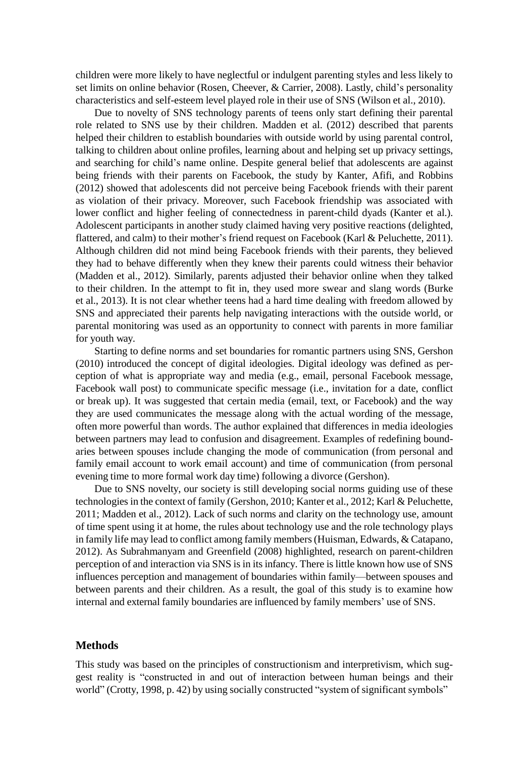children were more likely to have neglectful or indulgent parenting styles and less likely to set limits on online behavior (Rosen, Cheever, & Carrier, 2008). Lastly, child's personality characteristics and self-esteem level played role in their use of SNS (Wilson et al., 2010).

Due to novelty of SNS technology parents of teens only start defining their parental role related to SNS use by their children. Madden et al. (2012) described that parents helped their children to establish boundaries with outside world by using parental control, talking to children about online profiles, learning about and helping set up privacy settings, and searching for child's name online. Despite general belief that adolescents are against being friends with their parents on Facebook, the study by Kanter, Afifi, and Robbins (2012) showed that adolescents did not perceive being Facebook friends with their parent as violation of their privacy. Moreover, such Facebook friendship was associated with lower conflict and higher feeling of connectedness in parent-child dyads (Kanter et al.). Adolescent participants in another study claimed having very positive reactions (delighted, flattered, and calm) to their mother's friend request on Facebook (Karl & Peluchette, 2011). Although children did not mind being Facebook friends with their parents, they believed they had to behave differently when they knew their parents could witness their behavior (Madden et al., 2012). Similarly, parents adjusted their behavior online when they talked to their children. In the attempt to fit in, they used more swear and slang words (Burke et al., 2013). It is not clear whether teens had a hard time dealing with freedom allowed by SNS and appreciated their parents help navigating interactions with the outside world, or parental monitoring was used as an opportunity to connect with parents in more familiar for youth way.

Starting to define norms and set boundaries for romantic partners using SNS, Gershon (2010) introduced the concept of digital ideologies. Digital ideology was defined as perception of what is appropriate way and media (e.g., email, personal Facebook message, Facebook wall post) to communicate specific message (i.e., invitation for a date, conflict or break up). It was suggested that certain media (email, text, or Facebook) and the way they are used communicates the message along with the actual wording of the message, often more powerful than words. The author explained that differences in media ideologies between partners may lead to confusion and disagreement. Examples of redefining boundaries between spouses include changing the mode of communication (from personal and family email account to work email account) and time of communication (from personal evening time to more formal work day time) following a divorce (Gershon).

Due to SNS novelty, our society is still developing social norms guiding use of these technologies in the context of family (Gershon, 2010; Kanter et al., 2012; Karl & Peluchette, 2011; Madden et al., 2012). Lack of such norms and clarity on the technology use, amount of time spent using it at home, the rules about technology use and the role technology plays in family life may lead to conflict among family members(Huisman, Edwards, & Catapano, 2012). As Subrahmanyam and Greenfield (2008) highlighted, research on parent-children perception of and interaction via SNS is in its infancy. There is little known how use of SNS influences perception and management of boundaries within family—between spouses and between parents and their children. As a result, the goal of this study is to examine how internal and external family boundaries are influenced by family members' use of SNS.

#### **Methods**

This study was based on the principles of constructionism and interpretivism, which suggest reality is "constructed in and out of interaction between human beings and their world" (Crotty, 1998, p. 42) by using socially constructed "system of significant symbols"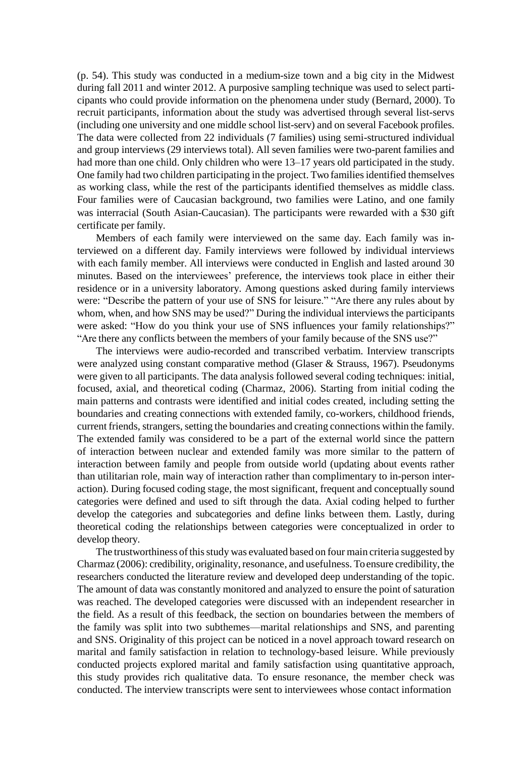(p. 54). This study was conducted in a medium-size town and a big city in the Midwest during fall 2011 and winter 2012. A purposive sampling technique was used to select participants who could provide information on the phenomena under study (Bernard, 2000). To recruit participants, information about the study was advertised through several list-servs (including one university and one middle school list-serv) and on several Facebook profiles. The data were collected from 22 individuals (7 families) using semi-structured individual and group interviews (29 interviews total). All seven families were two-parent families and had more than one child. Only children who were 13–17 years old participated in the study. One family had two children participating in the project. Two familiesidentified themselves as working class, while the rest of the participants identified themselves as middle class. Four families were of Caucasian background, two families were Latino, and one family was interracial (South Asian-Caucasian). The participants were rewarded with a \$30 gift certificate per family.

Members of each family were interviewed on the same day. Each family was interviewed on a different day. Family interviews were followed by individual interviews with each family member. All interviews were conducted in English and lasted around 30 minutes. Based on the interviewees' preference, the interviews took place in either their residence or in a university laboratory. Among questions asked during family interviews were: "Describe the pattern of your use of SNS for leisure." "Are there any rules about by whom, when, and how SNS may be used?" During the individual interviewsthe participants were asked: "How do you think your use of SNS influences your family relationships?" "Are there any conflicts between the members of your family because of the SNS use?"

The interviews were audio-recorded and transcribed verbatim. Interview transcripts were analyzed using constant comparative method (Glaser & Strauss, 1967). Pseudonyms were given to all participants. The data analysis followed several coding techniques: initial, focused, axial, and theoretical coding (Charmaz, 2006). Starting from initial coding the main patterns and contrasts were identified and initial codes created, including setting the boundaries and creating connections with extended family, co-workers, childhood friends, current friends, strangers, setting the boundaries and creating connections within the family. The extended family was considered to be a part of the external world since the pattern of interaction between nuclear and extended family was more similar to the pattern of interaction between family and people from outside world (updating about events rather than utilitarian role, main way of interaction rather than complimentary to in-person interaction). During focused coding stage, the most significant, frequent and conceptually sound categories were defined and used to sift through the data. Axial coding helped to further develop the categories and subcategories and define links between them. Lastly, during theoretical coding the relationships between categories were conceptualized in order to develop theory.

The trustworthiness of this study was evaluated based on four main criteria suggested by Charmaz  $(2006)$ : credibility, originality, resonance, and usefulness. To ensure credibility, the researchers conducted the literature review and developed deep understanding of the topic. The amount of data was constantly monitored and analyzed to ensure the point of saturation was reached. The developed categories were discussed with an independent researcher in the field. As a result of this feedback, the section on boundaries between the members of the family was split into two subthemes—marital relationships and SNS, and parenting and SNS. Originality of this project can be noticed in a novel approach toward research on marital and family satisfaction in relation to technology-based leisure. While previously conducted projects explored marital and family satisfaction using quantitative approach, this study provides rich qualitative data. To ensure resonance, the member check was conducted. The interview transcripts were sent to interviewees whose contact information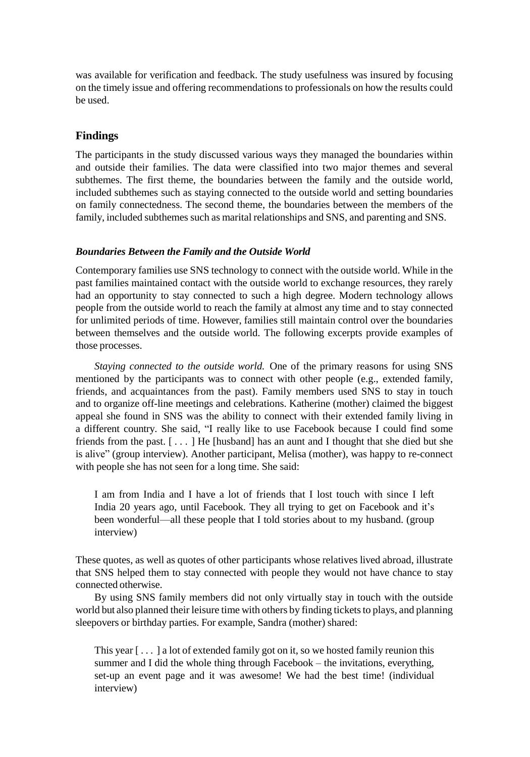was available for verification and feedback. The study usefulness was insured by focusing on the timely issue and offering recommendations to professionals on how the results could be used.

# **Findings**

The participants in the study discussed various ways they managed the boundaries within and outside their families. The data were classified into two major themes and several subthemes. The first theme, the boundaries between the family and the outside world, included subthemes such as staying connected to the outside world and setting boundaries on family connectedness. The second theme, the boundaries between the members of the family, included subthemes such as marital relationships and SNS, and parenting and SNS.

#### *Boundaries Between the Family and the Outside World*

Contemporary families use SNS technology to connect with the outside world. While in the past families maintained contact with the outside world to exchange resources, they rarely had an opportunity to stay connected to such a high degree. Modern technology allows people from the outside world to reach the family at almost any time and to stay connected for unlimited periods of time. However, families still maintain control over the boundaries between themselves and the outside world. The following excerpts provide examples of those processes.

*Staying connected to the outside world.* One of the primary reasons for using SNS mentioned by the participants was to connect with other people (e.g., extended family, friends, and acquaintances from the past). Family members used SNS to stay in touch and to organize off-line meetings and celebrations. Katherine (mother) claimed the biggest appeal she found in SNS was the ability to connect with their extended family living in a different country. She said, "I really like to use Facebook because I could find some friends from the past.  $[\ldots]$  He [husband] has an aunt and I thought that she died but she is alive" (group interview). Another participant, Melisa (mother), was happy to re-connect with people she has not seen for a long time. She said:

I am from India and I have a lot of friends that I lost touch with since I left India 20 years ago, until Facebook. They all trying to get on Facebook and it's been wonderful—all these people that I told stories about to my husband. (group interview)

These quotes, as well as quotes of other participants whose relatives lived abroad, illustrate that SNS helped them to stay connected with people they would not have chance to stay connected otherwise.

By using SNS family members did not only virtually stay in touch with the outside world but also planned their leisure time with others by finding tickets to plays, and planning sleepovers or birthday parties. For example, Sandra (mother) shared:

This year [...] a lot of extended family got on it, so we hosted family reunion this summer and I did the whole thing through Facebook – the invitations, everything, set-up an event page and it was awesome! We had the best time! (individual interview)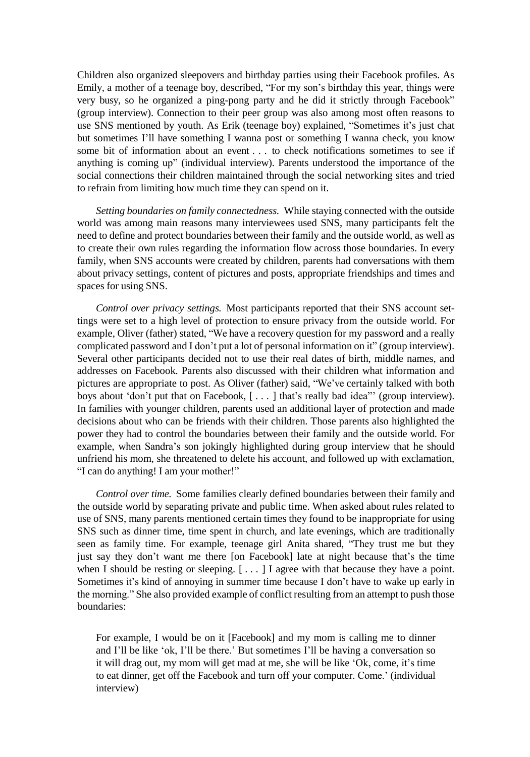Children also organized sleepovers and birthday parties using their Facebook profiles. As Emily, a mother of a teenage boy, described, "For my son's birthday this year, things were very busy, so he organized a ping-pong party and he did it strictly through Facebook" (group interview). Connection to their peer group was also among most often reasons to use SNS mentioned by youth. As Erik (teenage boy) explained, "Sometimes it's just chat but sometimes I'll have something I wanna post or something I wanna check, you know some bit of information about an event . . . to check notifications sometimes to see if anything is coming up" (individual interview). Parents understood the importance of the social connections their children maintained through the social networking sites and tried to refrain from limiting how much time they can spend on it.

*Setting boundaries on family connectedness.* While staying connected with the outside world was among main reasons many interviewees used SNS, many participants felt the need to define and protect boundaries between their family and the outside world, as well as to create their own rules regarding the information flow across those boundaries. In every family, when SNS accounts were created by children, parents had conversations with them about privacy settings, content of pictures and posts, appropriate friendships and times and spaces for using SNS.

*Control over privacy settings.* Most participants reported that their SNS account settings were set to a high level of protection to ensure privacy from the outside world. For example, Oliver (father) stated, "We have a recovery question for my password and a really complicated password and I don't put a lot of personal information on it" (group interview). Several other participants decided not to use their real dates of birth, middle names, and addresses on Facebook. Parents also discussed with their children what information and pictures are appropriate to post. As Oliver (father) said, "We've certainly talked with both boys about 'don't put that on Facebook, [ . . . ] that's really bad idea"' (group interview). In families with younger children, parents used an additional layer of protection and made decisions about who can be friends with their children. Those parents also highlighted the power they had to control the boundaries between their family and the outside world. For example, when Sandra's son jokingly highlighted during group interview that he should unfriend his mom, she threatened to delete his account, and followed up with exclamation, "I can do anything! I am your mother!"

*Control over time.* Some families clearly defined boundaries between their family and the outside world by separating private and public time. When asked about rules related to use of SNS, many parents mentioned certain times they found to be inappropriate for using SNS such as dinner time, time spent in church, and late evenings, which are traditionally seen as family time. For example, teenage girl Anita shared, "They trust me but they just say they don't want me there [on Facebook] late at night because that's the time when I should be resting or sleeping. [...] I agree with that because they have a point. Sometimes it's kind of annoying in summer time because I don't have to wake up early in the morning." She also provided example of conflict resulting from an attempt to push those boundaries:

For example, I would be on it [Facebook] and my mom is calling me to dinner and I'll be like 'ok, I'll be there.' But sometimes I'll be having a conversation so it will drag out, my mom will get mad at me, she will be like 'Ok, come, it's time to eat dinner, get off the Facebook and turn off your computer. Come.' (individual interview)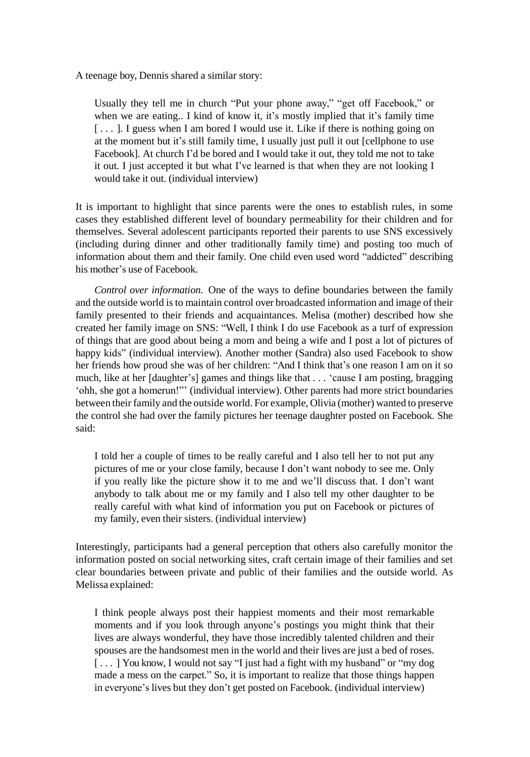A teenage boy, Dennis shared a similar story:

Usually they tell me in church "Put your phone away," "get off Facebook," or when we are eating.. I kind of know it, it's mostly implied that it's family time [...]. I guess when I am bored I would use it. Like if there is nothing going on at the moment but it's still family time, I usually just pull it out [cellphone to use Facebook]. At church I'd be bored and I would take it out, they told me not to take it out. I just accepted it but what I've learned is that when they are not looking I would take it out. (individual interview)

It is important to highlight that since parents were the ones to establish rules, in some cases they established different level of boundary permeability for their children and for themselves. Several adolescent participants reported their parents to use SNS excessively (including during dinner and other traditionally family time) and posting too much of information about them and their family. One child even used word "addicted" describing his mother's use of Facebook.

*Control over information.* One of the ways to define boundaries between the family and the outside world isto maintain control over broadcasted information and image of their family presented to their friends and acquaintances. Melisa (mother) described how she created her family image on SNS: "Well, I think I do use Facebook as a turf of expression of things that are good about being a mom and being a wife and I post a lot of pictures of happy kids" (individual interview). Another mother (Sandra) also used Facebook to show her friends how proud she was of her children: "And I think that's one reason I am on it so much, like at her [daughter's] games and things like that . . . 'cause I am posting, bragging 'ohh, she got a homerun!"' (individual interview). Other parents had more strict boundaries between their family and the outside world. For example, Olivia (mother) wanted to preserve the control she had over the family pictures her teenage daughter posted on Facebook. She said:

I told her a couple of times to be really careful and I also tell her to not put any pictures of me or your close family, because I don't want nobody to see me. Only if you really like the picture show it to me and we'll discuss that. I don't want anybody to talk about me or my family and I also tell my other daughter to be really careful with what kind of information you put on Facebook or pictures of my family, even their sisters. (individual interview)

Interestingly, participants had a general perception that others also carefully monitor the information posted on social networking sites, craft certain image of their families and set clear boundaries between private and public of their families and the outside world. As Melissa explained:

I think people always post their happiest moments and their most remarkable moments and if you look through anyone's postings you might think that their lives are always wonderful, they have those incredibly talented children and their spouses are the handsomest men in the world and their lives are just a bed of roses. [...] You know, I would not say "I just had a fight with my husband" or "my dog made a mess on the carpet." So, it is important to realize that those things happen in everyone's lives but they don't get posted on Facebook. (individual interview)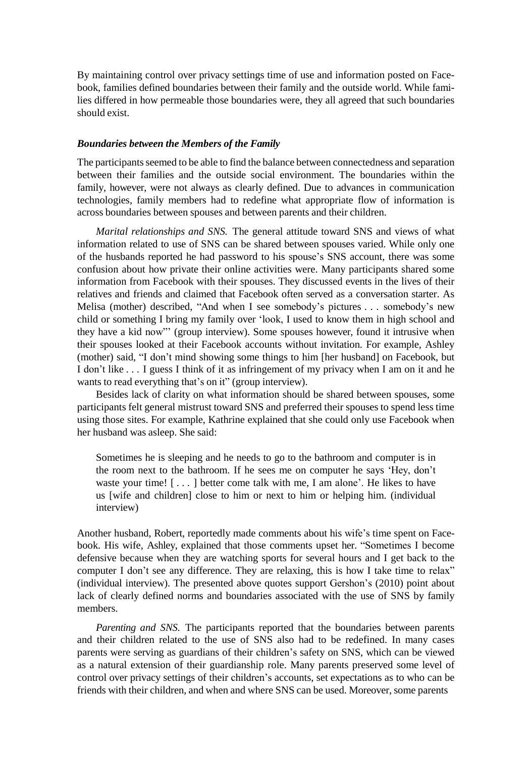By maintaining control over privacy settings time of use and information posted on Facebook, families defined boundaries between their family and the outside world. While families differed in how permeable those boundaries were, they all agreed that such boundaries should exist.

#### *Boundaries between the Members of the Family*

The participants seemed to be able to find the balance between connectedness and separation between their families and the outside social environment. The boundaries within the family, however, were not always as clearly defined. Due to advances in communication technologies, family members had to redefine what appropriate flow of information is across boundaries between spouses and between parents and their children.

*Marital relationships and SNS.* The general attitude toward SNS and views of what information related to use of SNS can be shared between spouses varied. While only one of the husbands reported he had password to his spouse's SNS account, there was some confusion about how private their online activities were. Many participants shared some information from Facebook with their spouses. They discussed events in the lives of their relatives and friends and claimed that Facebook often served as a conversation starter. As Melisa (mother) described, "And when I see somebody's pictures . . . somebody's new child or something I bring my family over 'look, I used to know them in high school and they have a kid now"' (group interview). Some spouses however, found it intrusive when their spouses looked at their Facebook accounts without invitation. For example, Ashley (mother) said, "I don't mind showing some things to him [her husband] on Facebook, but I don't like . . . I guess I think of it as infringement of my privacy when I am on it and he wants to read everything that's on it" (group interview).

Besides lack of clarity on what information should be shared between spouses, some participants felt general mistrust toward SNS and preferred their spouses to spend less time using those sites. For example, Kathrine explained that she could only use Facebook when her husband was asleep. She said:

Sometimes he is sleeping and he needs to go to the bathroom and computer is in the room next to the bathroom. If he sees me on computer he says 'Hey, don't waste your time! [...] better come talk with me, I am alone'. He likes to have us [wife and children] close to him or next to him or helping him. (individual interview)

Another husband, Robert, reportedly made comments about his wife's time spent on Facebook. His wife, Ashley, explained that those comments upset her. "Sometimes I become defensive because when they are watching sports for several hours and I get back to the computer I don't see any difference. They are relaxing, this is how I take time to relax" (individual interview). The presented above quotes support Gershon's (2010) point about lack of clearly defined norms and boundaries associated with the use of SNS by family members.

*Parenting and SNS.* The participants reported that the boundaries between parents and their children related to the use of SNS also had to be redefined. In many cases parents were serving as guardians of their children's safety on SNS, which can be viewed as a natural extension of their guardianship role. Many parents preserved some level of control over privacy settings of their children's accounts, set expectations as to who can be friends with their children, and when and where SNS can be used. Moreover, some parents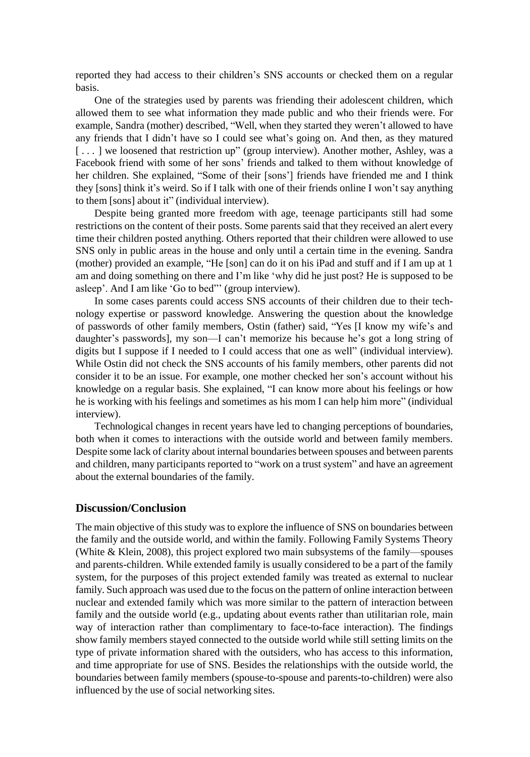reported they had access to their children's SNS accounts or checked them on a regular basis.

One of the strategies used by parents was friending their adolescent children, which allowed them to see what information they made public and who their friends were. For example, Sandra (mother) described, "Well, when they started they weren't allowed to have any friends that I didn't have so I could see what's going on. And then, as they matured [...] we loosened that restriction up" (group interview). Another mother, Ashley, was a Facebook friend with some of her sons' friends and talked to them without knowledge of her children. She explained, "Some of their [sons'] friends have friended me and I think they [sons] think it's weird. So if I talk with one of their friends online I won't say anything to them [sons] about it" (individual interview).

Despite being granted more freedom with age, teenage participants still had some restrictions on the content of their posts. Some parents said that they received an alert every time their children posted anything. Others reported that their children were allowed to use SNS only in public areas in the house and only until a certain time in the evening. Sandra (mother) provided an example, "He [son] can do it on his iPad and stuff and if I am up at 1 am and doing something on there and I'm like 'why did he just post? He is supposed to be asleep'. And I am like 'Go to bed"' (group interview).

In some cases parents could access SNS accounts of their children due to their technology expertise or password knowledge. Answering the question about the knowledge of passwords of other family members, Ostin (father) said, "Yes [I know my wife's and daughter's passwords], my son—I can't memorize his because he's got a long string of digits but I suppose if I needed to I could access that one as well" (individual interview). While Ostin did not check the SNS accounts of his family members, other parents did not consider it to be an issue. For example, one mother checked her son's account without his knowledge on a regular basis. She explained, "I can know more about his feelings or how he is working with his feelings and sometimes as his mom I can help him more" (individual interview).

Technological changes in recent years have led to changing perceptions of boundaries, both when it comes to interactions with the outside world and between family members. Despite some lack of clarity about internal boundaries between spouses and between parents and children, many participants reported to "work on a trust system" and have an agreement about the external boundaries of the family.

#### **Discussion/Conclusion**

The main objective of this study was to explore the influence of SNS on boundaries between the family and the outside world, and within the family. Following Family Systems Theory (White & Klein, 2008), this project explored two main subsystems of the family—spouses and parents-children. While extended family is usually considered to be a part of the family system, for the purposes of this project extended family was treated as external to nuclear family. Such approach was used due to the focus on the pattern of online interaction between nuclear and extended family which was more similar to the pattern of interaction between family and the outside world (e.g., updating about events rather than utilitarian role, main way of interaction rather than complimentary to face-to-face interaction). The findings show family members stayed connected to the outside world while still setting limits on the type of private information shared with the outsiders, who has access to this information, and time appropriate for use of SNS. Besides the relationships with the outside world, the boundaries between family members (spouse-to-spouse and parents-to-children) were also influenced by the use of social networking sites.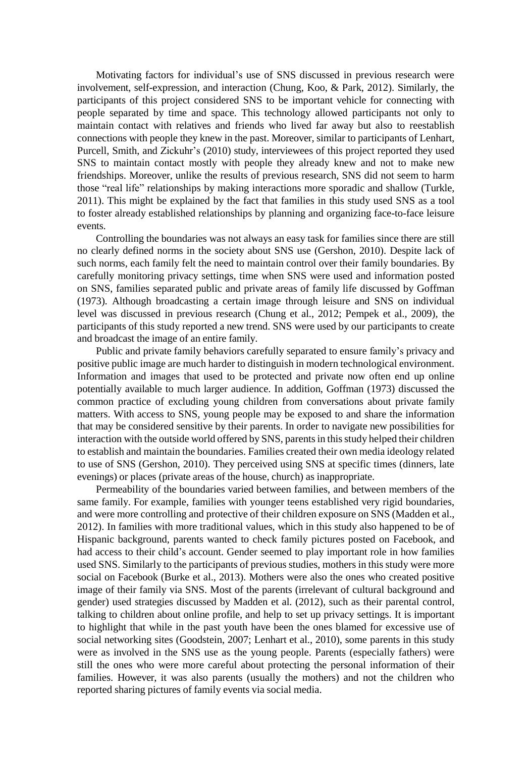Motivating factors for individual's use of SNS discussed in previous research were involvement, self-expression, and interaction (Chung, Koo, & Park, 2012). Similarly, the participants of this project considered SNS to be important vehicle for connecting with people separated by time and space. This technology allowed participants not only to maintain contact with relatives and friends who lived far away but also to reestablish connections with people they knew in the past. Moreover, similar to participants of Lenhart, Purcell, Smith, and Zickuhr's (2010) study, interviewees of this project reported they used SNS to maintain contact mostly with people they already knew and not to make new friendships. Moreover, unlike the results of previous research, SNS did not seem to harm those "real life" relationships by making interactions more sporadic and shallow (Turkle, 2011). This might be explained by the fact that families in this study used SNS as a tool to foster already established relationships by planning and organizing face-to-face leisure events.

Controlling the boundaries was not always an easy task for families since there are still no clearly defined norms in the society about SNS use (Gershon, 2010). Despite lack of such norms, each family felt the need to maintain control over their family boundaries. By carefully monitoring privacy settings, time when SNS were used and information posted on SNS, families separated public and private areas of family life discussed by Goffman (1973). Although broadcasting a certain image through leisure and SNS on individual level was discussed in previous research (Chung et al., 2012; Pempek et al., 2009), the participants of this study reported a new trend. SNS were used by our participants to create and broadcast the image of an entire family.

Public and private family behaviors carefully separated to ensure family's privacy and positive public image are much harder to distinguish in modern technological environment. Information and images that used to be protected and private now often end up online potentially available to much larger audience. In addition, Goffman (1973) discussed the common practice of excluding young children from conversations about private family matters. With access to SNS, young people may be exposed to and share the information that may be considered sensitive by their parents. In order to navigate new possibilities for interaction with the outside world offered by SNS, parentsin thisstudy helped their children to establish and maintain the boundaries. Families created their own media ideology related to use of SNS (Gershon, 2010). They perceived using SNS at specific times (dinners, late evenings) or places (private areas of the house, church) as inappropriate.

Permeability of the boundaries varied between families, and between members of the same family. For example, families with younger teens established very rigid boundaries, and were more controlling and protective of their children exposure on SNS (Madden et al., 2012). In families with more traditional values, which in this study also happened to be of Hispanic background, parents wanted to check family pictures posted on Facebook, and had access to their child's account. Gender seemed to play important role in how families used SNS. Similarly to the participants of previous studies, mothers in this study were more social on Facebook (Burke et al., 2013). Mothers were also the ones who created positive image of their family via SNS. Most of the parents (irrelevant of cultural background and gender) used strategies discussed by Madden et al. (2012), such as their parental control, talking to children about online profile, and help to set up privacy settings. It is important to highlight that while in the past youth have been the ones blamed for excessive use of social networking sites (Goodstein, 2007; Lenhart et al., 2010), some parents in this study were as involved in the SNS use as the young people. Parents (especially fathers) were still the ones who were more careful about protecting the personal information of their families. However, it was also parents (usually the mothers) and not the children who reported sharing pictures of family events via social media.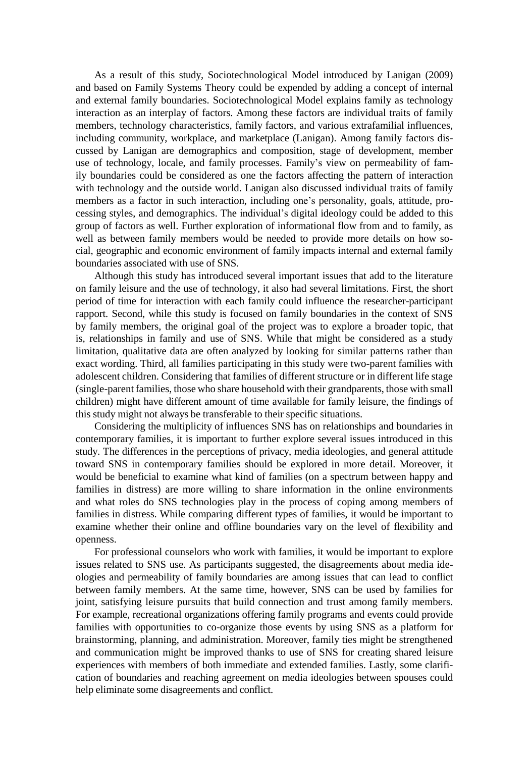As a result of this study, Sociotechnological Model introduced by Lanigan (2009) and based on Family Systems Theory could be expended by adding a concept of internal and external family boundaries. Sociotechnological Model explains family as technology interaction as an interplay of factors. Among these factors are individual traits of family members, technology characteristics, family factors, and various extrafamilial influences, including community, workplace, and marketplace (Lanigan). Among family factors discussed by Lanigan are demographics and composition, stage of development, member use of technology, locale, and family processes. Family's view on permeability of family boundaries could be considered as one the factors affecting the pattern of interaction with technology and the outside world. Lanigan also discussed individual traits of family members as a factor in such interaction, including one's personality, goals, attitude, processing styles, and demographics. The individual's digital ideology could be added to this group of factors as well. Further exploration of informational flow from and to family, as well as between family members would be needed to provide more details on how social, geographic and economic environment of family impacts internal and external family boundaries associated with use of SNS.

Although this study has introduced several important issues that add to the literature on family leisure and the use of technology, it also had several limitations. First, the short period of time for interaction with each family could influence the researcher-participant rapport. Second, while this study is focused on family boundaries in the context of SNS by family members, the original goal of the project was to explore a broader topic, that is, relationships in family and use of SNS. While that might be considered as a study limitation, qualitative data are often analyzed by looking for similar patterns rather than exact wording. Third, all families participating in this study were two-parent families with adolescent children. Considering that families of different structure or in different life stage (single-parent families, those who share household with their grandparents, those with small children) might have different amount of time available for family leisure, the findings of this study might not always be transferable to their specific situations.

Considering the multiplicity of influences SNS has on relationships and boundaries in contemporary families, it is important to further explore several issues introduced in this study. The differences in the perceptions of privacy, media ideologies, and general attitude toward SNS in contemporary families should be explored in more detail. Moreover, it would be beneficial to examine what kind of families (on a spectrum between happy and families in distress) are more willing to share information in the online environments and what roles do SNS technologies play in the process of coping among members of families in distress. While comparing different types of families, it would be important to examine whether their online and offline boundaries vary on the level of flexibility and openness.

For professional counselors who work with families, it would be important to explore issues related to SNS use. As participants suggested, the disagreements about media ideologies and permeability of family boundaries are among issues that can lead to conflict between family members. At the same time, however, SNS can be used by families for joint, satisfying leisure pursuits that build connection and trust among family members. For example, recreational organizations offering family programs and events could provide families with opportunities to co-organize those events by using SNS as a platform for brainstorming, planning, and administration. Moreover, family ties might be strengthened and communication might be improved thanks to use of SNS for creating shared leisure experiences with members of both immediate and extended families. Lastly, some clarification of boundaries and reaching agreement on media ideologies between spouses could help eliminate some disagreements and conflict.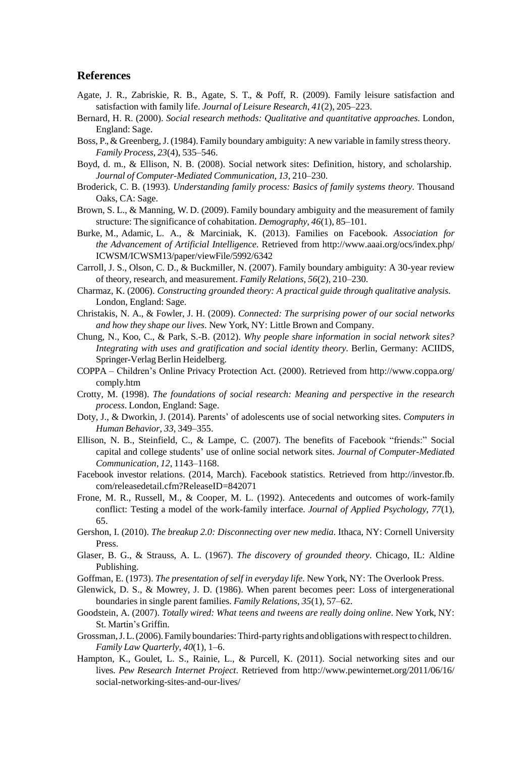#### **References**

- Agate, J. R., Zabriskie, R. B., Agate, S. T., & Poff, R. (2009). Family leisure satisfaction and satisfaction with family life. *Journal of Leisure Research*, *41*(2), 205–223.
- Bernard, H. R. (2000). *Social research methods: Qualitative and quantitative approaches*. London, England: Sage.
- Boss, P., & Greenberg, J. (1984). Family boundary ambiguity: A new variable in family stress theory. *Family Process*, *23*(4), 535–546.
- Boyd, d. m., & Ellison, N. B. (2008). Social network sites: Definition, history, and scholarship. *Journal of Computer-Mediated Communication*, *13*, 210–230.
- Broderick, C. B. (1993). *Understanding family process: Basics of family systems theory*. Thousand Oaks, CA: Sage.
- Brown, S. L., & Manning, W. D. (2009). Family boundary ambiguity and the measurement of family structure: The significance of cohabitation. *Demography*, *46*(1), 85–101.
- Burke, M., Adamic, L. A., & Marciniak, K. (2013). Families on Facebook. *Association for the Advancement of Artificial Intelligence*. Retrieved from <http://www.aaai.org/ocs/index.php/> ICWSM/ICWSM13/paper/viewFile/5992/6342
- Carroll, J. S., Olson, C. D., & Buckmiller, N. (2007). Family boundary ambiguity: A 30-year review of theory, research, and measurement. *Family Relations*, *56*(2), 210–230.
- Charmaz, K. (2006). *Constructing grounded theory: A practical guide through qualitative analysis*. London, England: Sage.
- Christakis, N. A., & Fowler, J. H. (2009). *Connected: The surprising power of our social networks and how they shape our lives*. New York, NY: Little Brown and Company.
- Chung, N., Koo, C., & Park, S.-B. (2012). *Why people share information in social network sites? Integrating with uses and gratification and social identity theory*. Berlin, Germany: ACIIDS, Springer-Verlag Berlin Heidelberg.
- COPPA Children's Online Privacy Protection Act. (2000). Retrieved from <http://www.coppa.org/> comply.htm
- Crotty, M. (1998). *The foundations of social research: Meaning and perspective in the research process*. London, England: Sage.
- Doty, J., & Dworkin, J. (2014). Parents' of adolescents use of social networking sites. *Computers in Human Behavior*, *33*, 349–355.
- Ellison, N. B., Steinfield, C., & Lampe, C. (2007). The benefits of Facebook "friends:" Social capital and college students' use of online social network sites. *Journal of Computer-Mediated Communication*, *12*, 1143–1168.
- Facebook investor relations. (2014, March). Facebook statistics. Retrieved from [http://investor.fb.](http://investor.fb/) com/releasedetail.cfm?ReleaseID=842071
- Frone, M. R., Russell, M., & Cooper, M. L. (1992). Antecedents and outcomes of work-family conflict: Testing a model of the work-family interface. *Journal of Applied Psychology*, *77*(1), 65.
- Gershon, I. (2010). *The breakup 2.0: Disconnecting over new media*. Ithaca, NY: Cornell University Press.
- Glaser, B. G., & Strauss, A. L. (1967). *The discovery of grounded theory*. Chicago, IL: Aldine Publishing.
- Goffman, E. (1973). *The presentation of self in everyday life*. New York, NY: The Overlook Press.
- Glenwick, D. S., & Mowrey, J. D. (1986). When parent becomes peer: Loss of intergenerational boundaries in single parent families. *Family Relations*, *35*(1), 57–62.
- Goodstein, A. (2007). *Totally wired: What teens and tweens are really doing online*. New York, NY: St. Martin's Griffin.
- Grossman,J.L.(2006).Familyboundaries:Third-partyrights andobligationswith respect to children. *Family Law Quarterly*, *40*(1), 1–6.
- Hampton, K., Goulet, L. S., Rainie, L., & Purcell, K. (2011). Social networking sites and our lives. *Pew Research Internet Project*. Retrieved from <http://www.pewinternet.org/2011/06/16/> social-networking-sites-and-our-lives/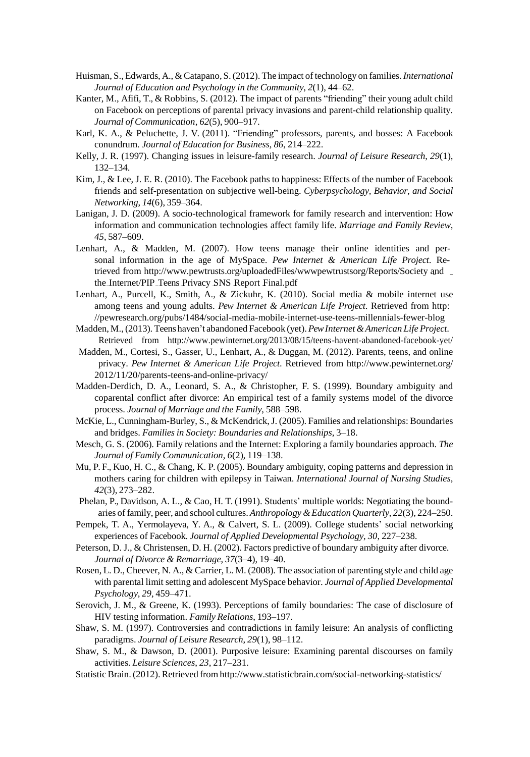- Huisman, S., Edwards, A., &Catapano, S.(2012). The impact oftechnology on families.*International Journal of Education and Psychology in the Community*, *2*(1), 44–62.
- Kanter, M., Afifi, T., & Robbins, S. (2012). The impact of parents "friending" their young adult child on Facebook on perceptions of parental privacy invasions and parent-child relationship quality. *Journal of Communication*, *62*(5), 900–917.
- Karl, K. A., & Peluchette, J. V. (2011). "Friending" professors, parents, and bosses: A Facebook conundrum. *Journal of Education for Business*, *86*, 214–222.
- Kelly, J. R. (1997). Changing issues in leisure-family research. *Journal of Leisure Research*, *29*(1), 132–134.
- Kim, J., & Lee, J. E. R. (2010). The Facebook paths to happiness: Effects of the number of Facebook friends and self-presentation on subjective well-being. *Cyberpsychology, Behavior, and Social Networking*, *14*(6), 359–364.
- Lanigan, J. D. (2009). A socio-technological framework for family research and intervention: How information and communication technologies affect family life. *Marriage and Family Review*, *45*, 587–609.
- Lenhart, A., & Madden, M. (2007). How teens manage their online identities and personal information in the age of MySpace. *Pew Internet & American Life Project*. Retrieved from <http://www.pewtrusts.org/uploadedFiles/wwwpewtrustsorg/Reports/Society> and the Internet/PIP Teens Privacy SNS Report Final.pdf
- Lenhart, A., Purcell, K., Smith, A., & Zickuhr, K. (2010). Social media & mobile internet use among teens and young adults. *Pew Internet & American Life Project*. Retrieved from http: //pewresearch.org/pubs/1484/social-media-mobile-internet-use-teens-millennials-fewer-blog
- Madden,M.,(2013). Teens haven't abandoned Facebook (yet).*PewInternet &American Life Project*. Retrieved from <http://www.pewinternet.org/2013/08/15/teens-havent-abandoned-facebook-yet/>
- Madden, M., Cortesi, S., Gasser, U., Lenhart, A., & Duggan, M. (2012). Parents, teens, and online privacy. *Pew Internet & American Life Project*. Retrieved from <http://www.pewinternet.org/> 2012/11/20/parents-teens-and-online-privacy/
- Madden-Derdich, D. A., Leonard, S. A., & Christopher, F. S. (1999). Boundary ambiguity and coparental conflict after divorce: An empirical test of a family systems model of the divorce process. *Journal of Marriage and the Family*, 588–598.
- McKie, L., Cunningham-Burley, S., & McKendrick,J. (2005). Families and relationships: Boundaries and bridges. *Families in Society: Boundaries and Relationships*, 3–18.
- Mesch, G. S. (2006). Family relations and the Internet: Exploring a family boundaries approach. *The Journal of Family Communication*, *6*(2), 119–138.
- Mu, P. F., Kuo, H. C., & Chang, K. P.(2005). Boundary ambiguity, coping patterns and depression in mothers caring for children with epilepsy in Taiwan. *International Journal of Nursing Studies*, *42*(3), 273–282.
- Phelan, P., Davidson, A. L., & Cao, H. T. (1991). Students' multiple worlds: Negotiating the boundaries of family, peer, and school cultures. *Anthropology &Education Quarterly*, *22*(3), 224–250.
- Pempek, T. A., Yermolayeva, Y. A., & Calvert, S. L. (2009). College students' social networking experiences of Facebook. *Journal of Applied Developmental Psychology*, *30*, 227–238.
- Peterson, D. J., & Christensen, D. H. (2002). Factors predictive of boundary ambiguity after divorce. *Journal of Divorce & Remarriage*, *37*(3–4), 19–40.
- Rosen, L. D., Cheever, N. A., & Carrier, L. M. (2008). The association of parenting style and child age with parental limit setting and adolescent MySpace behavior. *Journal of Applied Developmental Psychology*, *29*, 459–471.
- Serovich, J. M., & Greene, K. (1993). Perceptions of family boundaries: The case of disclosure of HIV testing information. *Family Relations*, 193–197.
- Shaw, S. M. (1997). Controversies and contradictions in family leisure: An analysis of conflicting paradigms. *Journal of Leisure Research*, *29*(1), 98–112.
- Shaw, S. M., & Dawson, D. (2001). Purposive leisure: Examining parental discourses on family activities. *Leisure Sciences*, *23*, 217–231.
- Statistic Brain. (2012). Retrieved from <http://www.statisticbrain.com/social-networking-statistics/>